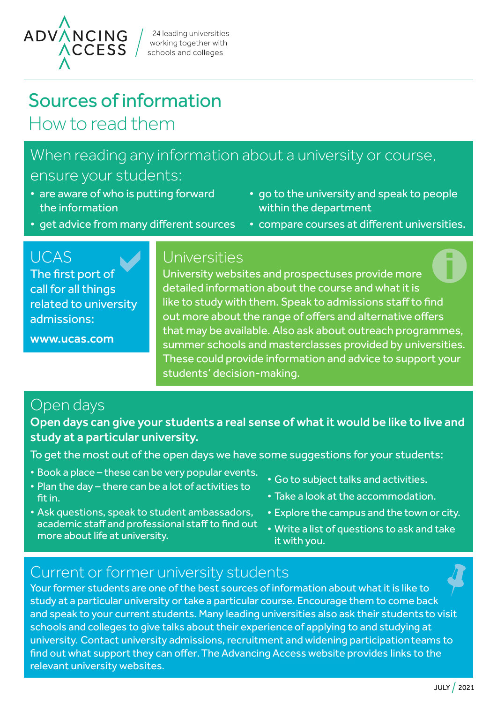

24 leading universities working together with schools and colleges

# Sources of information How to read them

### When reading any information about a university or course, ensure your students:

- are aware of who is putting forward the information
- go to the university and speak to people within the department

• compare courses at different universities.

• get advice from many different sources

## UCAS

The first port of call for all things related to university admissions:

[www.ucas.com](https://www.ucas.com/)

### Universities

University websites and prospectuses provide more detailed information about the course and what it is like to study with them. Speak to admissions staff to find out more about the range of offers and alternative offers that may be available. Also ask about outreach programmes, summer schools and masterclasses provided by universities. These could provide information and advice to support your students' decision-making.

### Open days

#### Open days can give your students a real sense of what it would be like to live and study at a particular university.

To get the most out of the open days we have some suggestions for your students:

- Book a place these can be very popular events.
- Plan the day there can be a lot of activities to fit in.
- Ask questions, speak to student ambassadors, academic staff and professional staff to find out more about life at university.
- Go to subject talks and activities.
- Take a look at the accommodation.
- Explore the campus and the town or city.
- Write a list of questions to ask and take it with you.

### Current or former university students

Your former students are one of the best sources of information about what it is like to study at a particular university or take a particular course. Encourage them to come back and speak to your current students. Many leading universities also ask their students to visit schools and colleges to give talks about their experience of applying to and studying at university. Contact university admissions, recruitment and widening participationteams to find out what support they can offer.The Advancing Access website provides links to the relevant university websites.